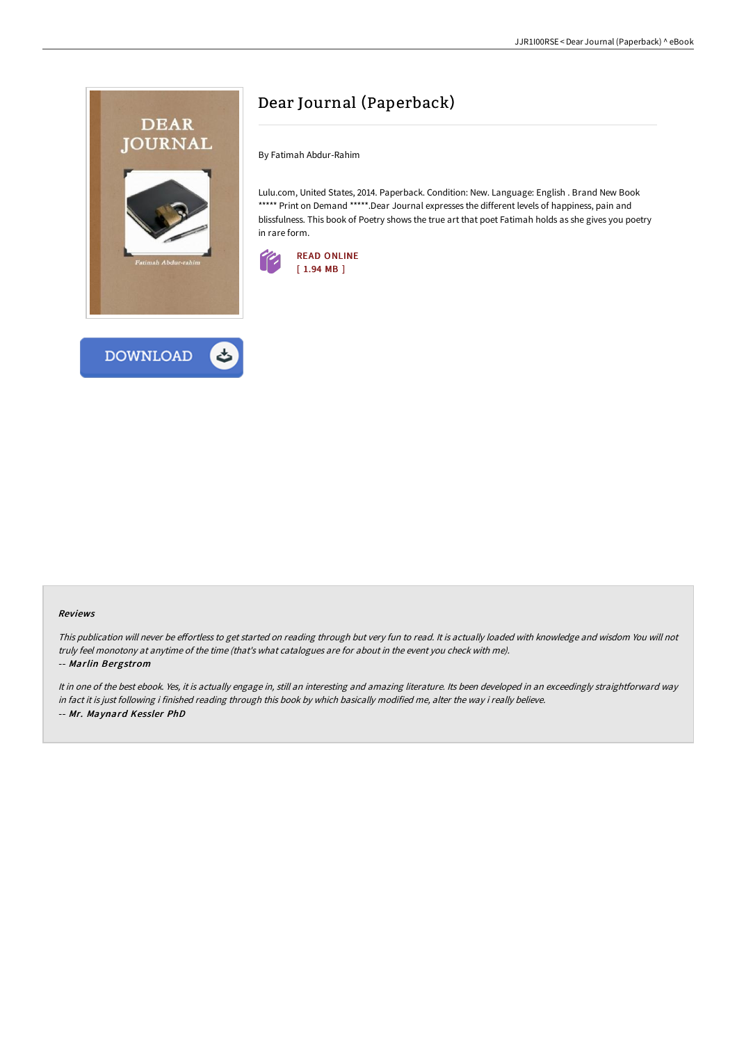



By Fatimah Abdur-Rahim

Lulu.com, United States, 2014. Paperback. Condition: New. Language: English . Brand New Book \*\*\*\*\* Print on Demand \*\*\*\*\*. Dear Journal expresses the different levels of happiness, pain and blissfulness. This book of Poetry shows the true art that poet Fatimah holds as she gives you poetry in rare form.



#### Reviews

This publication will never be effortless to get started on reading through but very fun to read. It is actually loaded with knowledge and wisdom You will not truly feel monotony at anytime of the time (that's what catalogues are for about in the event you check with me).

#### -- Marlin Bergstrom

It in one of the best ebook. Yes, it is actually engage in, still an interesting and amazing literature. Its been developed in an exceedingly straightforward way in fact it is just following i finished reading through this book by which basically modified me, alter the way i really believe. -- Mr. Maynard Kessler PhD